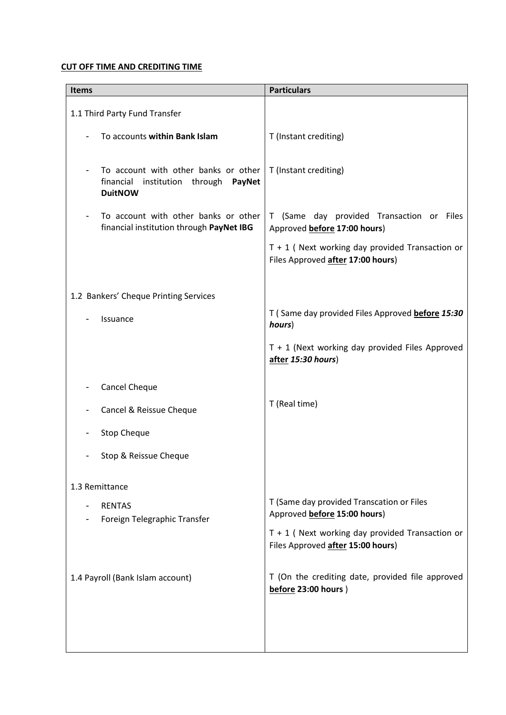## **CUT OFF TIME AND CREDITING TIME**

| <b>Items</b>                                                                                                     | <b>Particulars</b>                                                                     |
|------------------------------------------------------------------------------------------------------------------|----------------------------------------------------------------------------------------|
| 1.1 Third Party Fund Transfer                                                                                    |                                                                                        |
| To accounts within Bank Islam                                                                                    | T (Instant crediting)                                                                  |
| To account with other banks or other<br>institution through PayNet<br>financial<br><b>DuitNOW</b>                | T (Instant crediting)                                                                  |
| To account with other banks or other<br>$\qquad \qquad \blacksquare$<br>financial institution through PayNet IBG | T (Same day provided Transaction or Files<br>Approved before 17:00 hours)              |
|                                                                                                                  | $T + 1$ (Next working day provided Transaction or<br>Files Approved after 17:00 hours) |
| 1.2 Bankers' Cheque Printing Services                                                                            |                                                                                        |
| Issuance                                                                                                         | T (Same day provided Files Approved before 15:30<br>hours)                             |
|                                                                                                                  | $T + 1$ (Next working day provided Files Approved<br>after 15:30 hours)                |
| Cancel Cheque                                                                                                    |                                                                                        |
| Cancel & Reissue Cheque                                                                                          | T (Real time)                                                                          |
| <b>Stop Cheque</b>                                                                                               |                                                                                        |
| Stop & Reissue Cheque                                                                                            |                                                                                        |
| 1.3 Remittance                                                                                                   |                                                                                        |
| <b>RENTAS</b>                                                                                                    | T (Same day provided Transcation or Files<br>Approved before 15:00 hours)              |
| Foreign Telegraphic Transfer                                                                                     | $T + 1$ (Next working day provided Transaction or<br>Files Approved after 15:00 hours) |
| 1.4 Payroll (Bank Islam account)                                                                                 | T (On the crediting date, provided file approved<br>before 23:00 hours)                |
|                                                                                                                  |                                                                                        |
|                                                                                                                  |                                                                                        |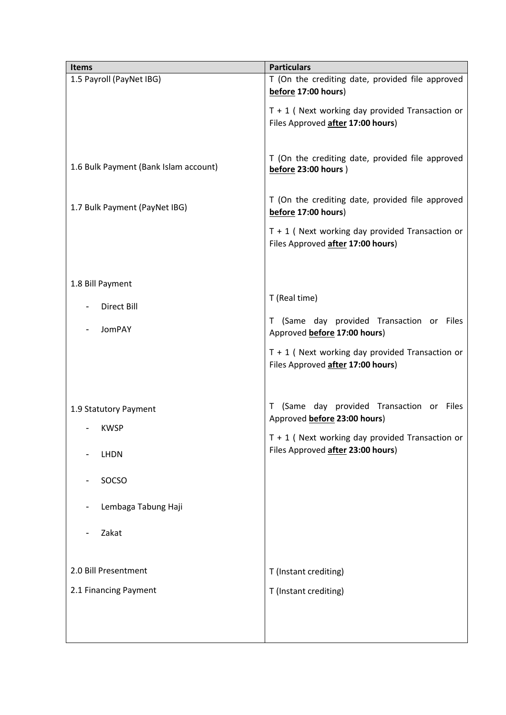| <b>Items</b>                          | <b>Particulars</b>                                                                     |
|---------------------------------------|----------------------------------------------------------------------------------------|
| 1.5 Payroll (PayNet IBG)              | T (On the crediting date, provided file approved<br>before 17:00 hours)                |
|                                       | $T + 1$ (Next working day provided Transaction or<br>Files Approved after 17:00 hours) |
| 1.6 Bulk Payment (Bank Islam account) | T (On the crediting date, provided file approved<br>before 23:00 hours)                |
| 1.7 Bulk Payment (PayNet IBG)         | T (On the crediting date, provided file approved<br>before 17:00 hours)                |
|                                       | $T + 1$ (Next working day provided Transaction or<br>Files Approved after 17:00 hours) |
| 1.8 Bill Payment                      |                                                                                        |
| Direct Bill                           | T (Real time)                                                                          |
| JomPAY                                | T (Same day provided Transaction or Files<br>Approved before 17:00 hours)              |
|                                       | $T + 1$ (Next working day provided Transaction or<br>Files Approved after 17:00 hours) |
| 1.9 Statutory Payment                 | (Same day provided Transaction or Files<br>T                                           |
| <b>KWSP</b>                           | Approved before 23:00 hours)                                                           |
| <b>LHDN</b>                           | $T + 1$ (Next working day provided Transaction or<br>Files Approved after 23:00 hours) |
| SOCSO                                 |                                                                                        |
| Lembaga Tabung Haji                   |                                                                                        |
| Zakat                                 |                                                                                        |
| 2.0 Bill Presentment                  | T (Instant crediting)                                                                  |
| 2.1 Financing Payment                 | T (Instant crediting)                                                                  |
|                                       |                                                                                        |
|                                       |                                                                                        |